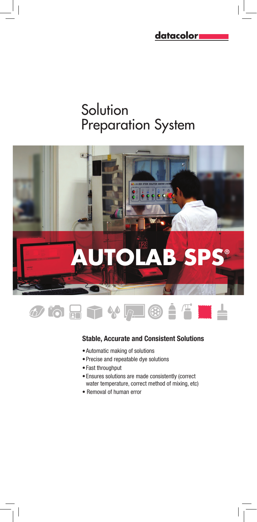<u>datacolor</u>

# **Solution** Preparation System





## Stable, Accurate and Consistent Solutions

- Automatic making of solutions
- Precise and repeatable dye solutions
- Fast throughput
- Ensures solutions are made consistently (correct water temperature, correct method of mixing, etc)
- Removal of human error